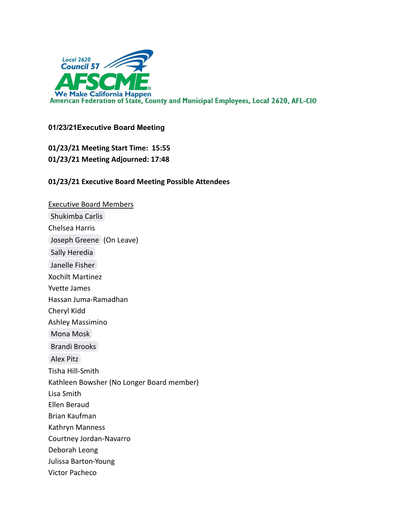

## **01/23/21Executive Board Meeting**

**01/23/21 Meeting Start Time: 15:55 01/23/21 Meeting Adjourned: 17:48**

## **01/23/21 Executive Board Meeting Possible Attendees**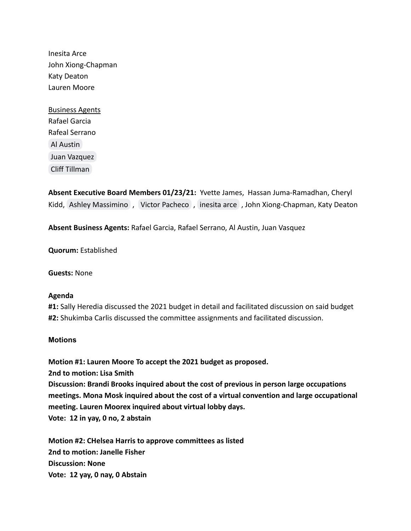Inesita Arce John Xiong-Chapman Katy Deaton Lauren Moore

Business Agents Rafael Garcia Rafeal Serrano [Al Austin](mailto:al.austin@ca.afscme57.org) [Juan Vazquez](mailto:juan.vazquez@ca.afscme57.org) [Cliff Tillman](mailto:cliff.tillman@ca.afscme57.org)

**Absent Executive Board Members 01/23/21:** Yvette James, Hassan Juma-Ramadhan, Cheryl Kidd, [Ashley Massimino](mailto:ashley.massimino@afscmelocal2620.org), [Victor Pacheco](mailto:victor.pacheco@afscmelocal2620.org), [inesita arce](mailto:inearce25@gmail.com), John Xiong-Chapman, Katy Deaton

**Absent Business Agents:** Rafael Garcia, Rafael Serrano, Al Austin, Juan Vasquez

**Quorum:** Established

**Guests:** None

## **Agenda**

**#1:** Sally Heredia discussed the 2021 budget in detail and facilitated discussion on said budget **#2:** Shukimba Carlis discussed the committee assignments and facilitated discussion.

## **Motions**

**Motion #1: Lauren Moore To accept the 2021 budget as proposed. 2nd to motion: Lisa Smith Discussion: Brandi Brooks inquired about the cost of previous in person large occupations meetings. Mona Mosk inquired about the cost of a virtual convention and large occupational meeting. Lauren Moorex inquired about virtual lobby days. Vote: 12 in yay, 0 no, 2 abstain**

**Motion #2: CHelsea Harris to approve committees as listed 2nd to motion: Janelle Fisher Discussion: None Vote: 12 yay, 0 nay, 0 Abstain**